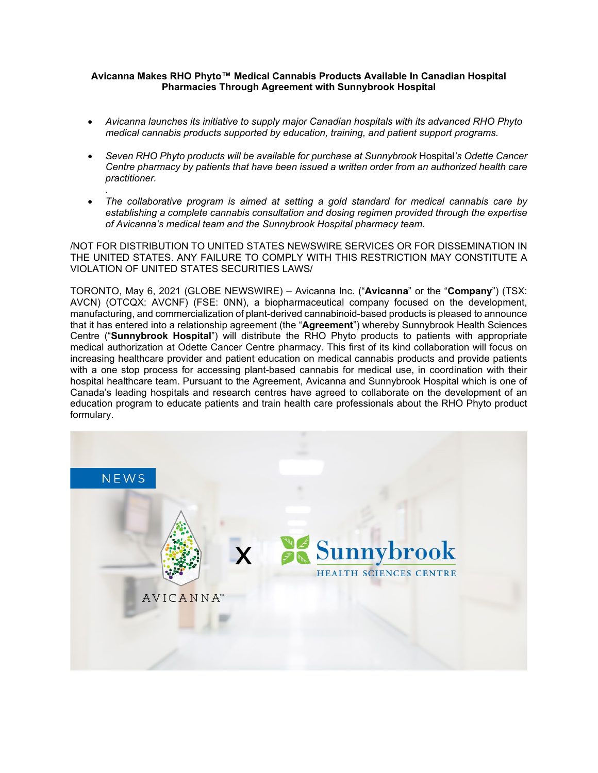### **Avicanna Makes RHO Phyto™ Medical Cannabis Products Available In Canadian Hospital Pharmacies Through Agreement with Sunnybrook Hospital**

- *Avicanna launches its initiative to supply major Canadian hospitals with its advanced RHO Phyto medical cannabis products supported by education, training, and patient support programs.*
- *Seven RHO Phyto products will be available for purchase at Sunnybrook* Hospital*'s Odette Cancer Centre pharmacy by patients that have been issued a written order from an authorized health care practitioner.*
- *.* • *The collaborative program is aimed at setting a gold standard for medical cannabis care by establishing a complete cannabis consultation and dosing regimen provided through the expertise of Avicanna's medical team and the Sunnybrook Hospital pharmacy team.*

/NOT FOR DISTRIBUTION TO UNITED STATES NEWSWIRE SERVICES OR FOR DISSEMINATION IN THE UNITED STATES. ANY FAILURE TO COMPLY WITH THIS RESTRICTION MAY CONSTITUTE A VIOLATION OF UNITED STATES SECURITIES LAWS/

TORONTO, May 6, 2021 (GLOBE NEWSWIRE) – Avicanna Inc. ("**Avicanna**" or the "**Company**") (TSX: AVCN) (OTCQX: AVCNF) (FSE: 0NN), a biopharmaceutical company focused on the development, manufacturing, and commercialization of plant-derived cannabinoid-based products is pleased to announce that it has entered into a relationship agreement (the "**Agreement**") whereby Sunnybrook Health Sciences Centre ("**Sunnybrook Hospital**") will distribute the RHO Phyto products to patients with appropriate medical authorization at Odette Cancer Centre pharmacy. This first of its kind collaboration will focus on increasing healthcare provider and patient education on medical cannabis products and provide patients with a one stop process for accessing plant-based cannabis for medical use, in coordination with their hospital healthcare team. Pursuant to the Agreement, Avicanna and Sunnybrook Hospital which is one of Canada's leading hospitals and research centres have agreed to collaborate on the development of an education program to educate patients and train health care professionals about the RHO Phyto product formulary.

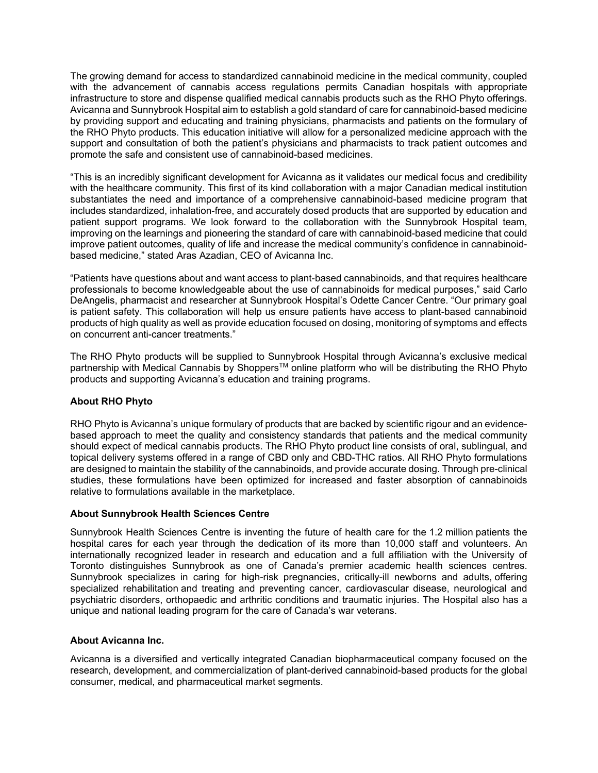The growing demand for access to standardized cannabinoid medicine in the medical community, coupled with the advancement of cannabis access regulations permits Canadian hospitals with appropriate infrastructure to store and dispense qualified medical cannabis products such as the RHO Phyto offerings. Avicanna and Sunnybrook Hospital aim to establish a gold standard of care for cannabinoid-based medicine by providing support and educating and training physicians, pharmacists and patients on the formulary of the RHO Phyto products. This education initiative will allow for a personalized medicine approach with the support and consultation of both the patient's physicians and pharmacists to track patient outcomes and promote the safe and consistent use of cannabinoid-based medicines.

"This is an incredibly significant development for Avicanna as it validates our medical focus and credibility with the healthcare community. This first of its kind collaboration with a major Canadian medical institution substantiates the need and importance of a comprehensive cannabinoid-based medicine program that includes standardized, inhalation-free, and accurately dosed products that are supported by education and patient support programs. We look forward to the collaboration with the Sunnybrook Hospital team, improving on the learnings and pioneering the standard of care with cannabinoid-based medicine that could improve patient outcomes, quality of life and increase the medical community's confidence in cannabinoidbased medicine," stated Aras Azadian, CEO of Avicanna Inc.

"Patients have questions about and want access to plant-based cannabinoids, and that requires healthcare professionals to become knowledgeable about the use of cannabinoids for medical purposes," said Carlo DeAngelis, pharmacist and researcher at Sunnybrook Hospital's Odette Cancer Centre. "Our primary goal is patient safety. This collaboration will help us ensure patients have access to plant-based cannabinoid products of high quality as well as provide education focused on dosing, monitoring of symptoms and effects on concurrent anti-cancer treatments."

The RHO Phyto products will be supplied to Sunnybrook Hospital through Avicanna's exclusive medical partnership with Medical Cannabis by Shoppers™ online platform who will be distributing the RHO Phyto products and supporting Avicanna's education and training programs.

# **About RHO Phyto**

RHO Phyto is Avicanna's unique formulary of products that are backed by scientific rigour and an evidencebased approach to meet the quality and consistency standards that patients and the medical community should expect of medical cannabis products. The RHO Phyto product line consists of oral, sublingual, and topical delivery systems offered in a range of CBD only and CBD-THC ratios. All RHO Phyto formulations are designed to maintain the stability of the cannabinoids, and provide accurate dosing. Through pre-clinical studies, these formulations have been optimized for increased and faster absorption of cannabinoids relative to formulations available in the marketplace.

# **About Sunnybrook Health Sciences Centre**

Sunnybrook Health Sciences Centre is inventing the future of health care for the 1.2 million patients the hospital cares for each year through the dedication of its more than 10,000 staff and volunteers. An internationally recognized leader in research and education and a full affiliation with the University of Toronto distinguishes Sunnybrook as one of Canada's premier academic health sciences centres. Sunnybrook specializes in caring for high-risk pregnancies, critically-ill newborns and adults, offering specialized rehabilitation and treating and preventing cancer, cardiovascular disease, neurological and psychiatric disorders, orthopaedic and arthritic conditions and traumatic injuries. The Hospital also has a unique and national leading program for the care of Canada's war veterans.

# **About Avicanna Inc.**

Avicanna is a diversified and vertically integrated Canadian biopharmaceutical company focused on the research, development, and commercialization of plant-derived cannabinoid-based products for the global consumer, medical, and pharmaceutical market segments.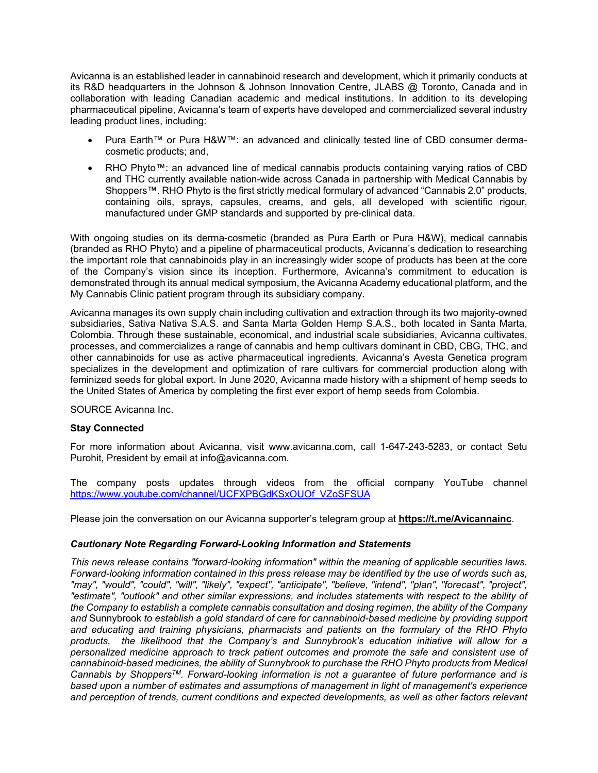Avicanna is an established leader in cannabinoid research and development, which it primarily conducts at its R&D headquarters in the Johnson & Johnson Innovation Centre, JLABS @ Toronto, Canada and in collaboration with leading Canadian academic and medical institutions. In addition to its developing pharmaceutical pipeline, Avicanna's team of experts have developed and commercialized several industry leading product lines, including:

- Pura Earth™ or Pura H&W™: an advanced and clinically tested line of CBD consumer dermacosmetic products; and,
- RHO Phyto™: an advanced line of medical cannabis products containing varying ratios of CBD and THC currently available nation-wide across Canada in partnership with Medical Cannabis by Shoppers™. RHO Phyto is the first strictly medical formulary of advanced "Cannabis 2.0" products, containing oils, sprays, capsules, creams, and gels, all developed with scientific rigour, manufactured under GMP standards and supported by pre-clinical data.

With ongoing studies on its derma-cosmetic (branded as Pura Earth or Pura H&W), medical cannabis (branded as RHO Phyto) and a pipeline of pharmaceutical products, Avicanna's dedication to researching the important role that cannabinoids play in an increasingly wider scope of products has been at the core of the Company's vision since its inception. Furthermore, Avicanna's commitment to education is demonstrated through its annual medical symposium, the Avicanna Academy educational platform, and the My Cannabis Clinic patient program through its subsidiary company.

Avicanna manages its own supply chain including cultivation and extraction through its two majority-owned subsidiaries, Sativa Nativa S.A.S. and Santa Marta Golden Hemp S.A.S., both located in Santa Marta, Colombia. Through these sustainable, economical, and industrial scale subsidiaries, Avicanna cultivates, processes, and commercializes a range of cannabis and hemp cultivars dominant in CBD, CBG, THC, and other cannabinoids for use as active pharmaceutical ingredients. Avicanna's Avesta Genetica program specializes in the development and optimization of rare cultivars for commercial production along with feminized seeds for global export. In June 2020, Avicanna made history with a shipment of hemp seeds to the United States of America by completing the first ever export of hemp seeds from Colombia.

SOURCE Avicanna Inc.

### **Stay Connected**

For more information about Avicanna, visit www.avicanna.com, call 1-647-243-5283, or contact Setu Purohit, President by email at info@avicanna.com.

The company posts updates through videos from the official company YouTube channel [https://www.youtube.com/channel/UCFXPBGdKSxOUOf\\_VZoSFSUA](https://www.youtube.com/channel/UCFXPBGdKSxOUOf_VZoSFSUA)

Please join the conversation on our Avicanna supporter's telegram group at **[https://t.me/Avicannainc](https://www.globenewswire.com/Tracker?data=Yc3ZROMyC7QpAY2_KXLClwZ-9P9ZklUgbhQGXzRApkSAE_FZjKINKG7butehjJU8SXRJn8BFwGBjsymUSubppdWw8SgOGqBabvJSPvSoizQ=)**.

### *Cautionary Note Regarding Forward-Looking Information and Statements*

*This news release contains "forward-looking information" within the meaning of applicable securities laws. Forward-looking information contained in this press release may be identified by the use of words such as, "may", "would", "could", "will", "likely", "expect", "anticipate", "believe, "intend", "plan", "forecast", "project", "estimate", "outlook" and other similar expressions, and includes statements with respect to the ability of the Company to establish a complete cannabis consultation and dosing regimen, the ability of the Company and* Sunnybrook *to establish a gold standard of care for cannabinoid-based medicine by providing support and educating and training physicians, pharmacists and patients on the formulary of the RHO Phyto products, the likelihood that the Company's and Sunnybrook's education initiative will allow for a personalized medicine approach to track patient outcomes and promote the safe and consistent use of cannabinoid-based medicines, the ability of Sunnybrook to purchase the RHO Phyto products from Medical Cannabis by ShoppersTM. Forward-looking information is not a guarantee of future performance and is based upon a number of estimates and assumptions of management in light of management's experience and perception of trends, current conditions and expected developments, as well as other factors relevant*